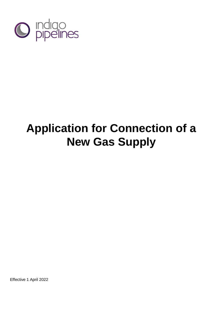

# **Application for Connection of a New Gas Supply**

Effective 1 April 2022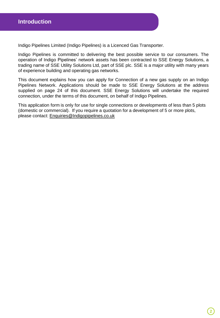Indigo Pipelines Limited (Indigo Pipelines) is a Licenced Gas Transporter.

Indigo Pipelines is committed to delivering the best possible service to our consumers. The operation of Indigo Pipelines' network assets has been contracted to SSE Energy Solutions, a trading name of SSE Utility Solutions Ltd, part of SSE plc. SSE is a major utility with many years of experience building and operating gas networks.

This document explains how you can apply for Connection of a new gas supply on an Indigo Pipelines Network. Applications should be made to SSE Energy Solutions at the address supplied on page 24 of this document. SSE Energy Solutions will undertake the required connection, under the terms of this document, on behalf of Indigo Pipelines.

This application form is only for use for single connections or developments of less than 5 plots (domestic or commercial). If you require a quotation for a development of 5 or more plots, please contact: [Enquiries@Indigopipelines.co.uk](mailto:Enquiries@Indigopipelines.co.uk)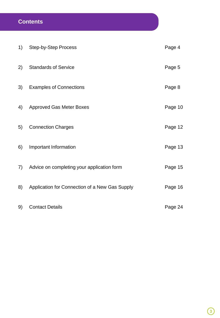# **Contents**

| 1) | <b>Step-by-Step Process</b>                    | Page 4  |
|----|------------------------------------------------|---------|
| 2) | <b>Standards of Service</b>                    | Page 5  |
| 3) | <b>Examples of Connections</b>                 | Page 8  |
| 4) | <b>Approved Gas Meter Boxes</b>                | Page 10 |
| 5) | <b>Connection Charges</b>                      | Page 12 |
| 6) | Important Information                          | Page 13 |
| 7) | Advice on completing your application form     | Page 15 |
| 8) | Application for Connection of a New Gas Supply | Page 16 |
| 9) | <b>Contact Details</b>                         | Page 24 |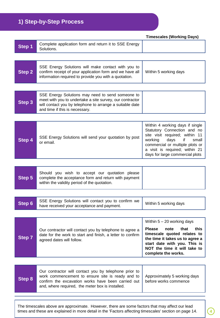# **1) Step-by-Step Process**

**Step 1** Complete application form and return it to SSE Energy **Solutions Step 2** SSE Energy Solutions will make contact with you to confirm receipt of your application form and we have all information required to provide you with a quotation. Within 5 working days **Step 3** SSE Energy Solutions may need to send someone to meet with you to undertake a site survey, our contractor will contact you by telephone to arrange a suitable date and time if this is necessary. **Step 4** SSE Energy Solutions will send your quotation by post or email. Within 4 working days if single Statutory Connection and no site visit required; within 11 working days if small commercial or multiple plots or a visit is required; within 21 days for large commercial plots **Step 5** Should you wish to accept our quotation please complete the acceptance form and return with payment within the validity period of the quotation. **Step 6** SSE Energy Solutions will contact you to confirm we have received your acceptance and payment. Within 5 working days **Step 7** Our contractor will contact you by telephone to agree a date for the work to start and finish, a letter to confirm agreed dates will follow. Within 5 – 20 working days **Please note that this timescale quoted relates to the time it takes us to agree a start date with you. This is NOT the time it will take to complete the works. Step 8** Our contractor will contact you by telephone prior to work commencement to ensure site is ready and to confirm the excavation works have been carried out and, where required, the meter box is installed. Approximately 5 working days before works commence **Timescales (Working Days)**

The timescales above are approximate. However, there are some factors that may affect our lead times and these are explained in more detail in the 'Factors affecting timescales' section on page 14.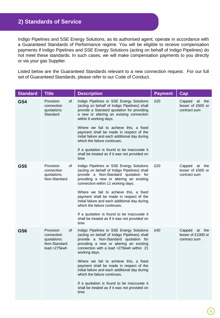Indigo Pipelines and SSE Energy Solutions, as its authorised agent, operate in accordance with a Guaranteed Standards of Performance regime. You will be eligible to receive compensation payments if Indigo Pipelines and SSE Energy Solutions (acting on behalf of Indigo Pipelines) do not meet these standards. In such cases, we will make compensation payments to you directly or via your gas Supplier.

Listed below are the Guaranteed Standards relevant to a new connection request. For our full set of Guaranteed Standards, please refer to our Code of Conduct.

| <b>Standard</b> | <b>Title</b>                                                                        | <b>Description</b>                                                                                                                                                                                                                                                                                                                                                                                                                                                                                                      | <b>Payment</b> | Cap                                                       |
|-----------------|-------------------------------------------------------------------------------------|-------------------------------------------------------------------------------------------------------------------------------------------------------------------------------------------------------------------------------------------------------------------------------------------------------------------------------------------------------------------------------------------------------------------------------------------------------------------------------------------------------------------------|----------------|-----------------------------------------------------------|
| GS4             | Provision<br>0f<br>connection<br>quotations:<br>Standard                            | Indigo Pipelines or SSE Energy Solutions<br>(acting on behalf of Indigo Pipelines) shall<br>provide a Standard quotation for providing<br>a new or altering an existing connection<br>within 6 working days.<br>Where we fail to achieve this, a fixed<br>payment shall be made in respect of the<br>initial failure and each additional day during<br>which the failure continues.<br>If a quotation is found to be inaccurate it<br>shall be treated as if it was not provided on<br>time                             | £20            | Capped<br>at<br>the<br>lesser of £500 or<br>contract sum  |
| GS5             | <b>Provision</b><br>οf<br>connection<br>quotations:<br>Non-Standard                 | Indigo Pipelines or SSE Energy Solutions<br>(acting on behalf of Indigo Pipelines) shall<br>provide a Non-Standard quotation for<br>providing a new or altering an existing<br>connection within 11 working days.<br>Where we fail to achieve this, a fixed<br>payment shall be made in respect of the<br>initial failure and each additional day during<br>which the failure continues.<br>If a quotation is found to be inaccurate it<br>shall be treated as if it was not provided on<br>time                        | £20            | Capped<br>at the<br>lesser of £500 or<br>contract sum     |
| GS <sub>6</sub> | <b>Provision</b><br>οf<br>connection<br>quotations:<br>Non-Standard<br>load >275kwh | Indigo Pipelines or SSE Energy Solutions<br>(acting on behalf of Indigo Pipelines) shall<br>provide a Non-Standard quotation for<br>providing a new or altering an existing<br>connection with a load >275kwh within 21<br>working days.<br>Where we fail to achieve this, a fixed<br>payment shall be made in respect of the<br>initial failure and each additional day during<br>which the failure continues.<br>If a quotation is found to be inaccurate it<br>shall be treated as if it was not provided on<br>time | £40            | Capped<br>the<br>at<br>lesser of £1000 or<br>contract sum |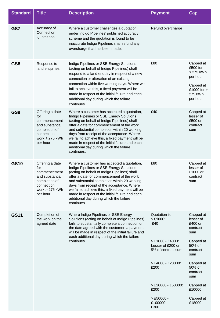| <b>Standard</b> | <b>Title</b>                                                                                                                | <b>Description</b>                                                                                                                                                                                                                                                                                                                                                                                                                                | <b>Payment</b>                                                                                                                                                                                             | Cap                                                                                                                                                                                    |
|-----------------|-----------------------------------------------------------------------------------------------------------------------------|---------------------------------------------------------------------------------------------------------------------------------------------------------------------------------------------------------------------------------------------------------------------------------------------------------------------------------------------------------------------------------------------------------------------------------------------------|------------------------------------------------------------------------------------------------------------------------------------------------------------------------------------------------------------|----------------------------------------------------------------------------------------------------------------------------------------------------------------------------------------|
| GS7             | Accuracy of<br>Connection<br>Quotations                                                                                     | Where a customer challenges a quotation<br>under Indigo Pipelines' published accuracy<br>scheme and the quotation is found to be<br>inaccurate Indigo Pipelines shall refund any<br>overcharge that has been made.                                                                                                                                                                                                                                | Refund overcharge                                                                                                                                                                                          |                                                                                                                                                                                        |
| GS8             | Response to<br>land enquiries                                                                                               | Indigo Pipelines or SSE Energy Solutions<br>(acting on behalf of Indigo Pipelines) shall<br>respond to a land enquiry in respect of a new<br>connection or alteration of an existing<br>connection within five working days. Where we<br>fail to achieve this, a fixed payment will be<br>made in respect of the initial failure and each<br>additional day during which the failure<br>continues.                                                | £80                                                                                                                                                                                                        | Capped at<br>£500 for<br>≤ 275 kWh<br>per hour<br>Capped at<br>£1000 for ><br>275 kWh<br>per hour                                                                                      |
| GS9             | Offering a date<br>for<br>commencement<br>and substantial<br>completion of<br>connection<br>work $\leq$ 275 kWh<br>per hour | Where a customer has accepted a quotation,<br>Indigo Pipelines or SSE Energy Solutions<br>(acting on behalf of Indigo Pipelines) shall<br>offer a date for commencement of the work<br>and substantial completion within 20 working<br>days from receipt of the acceptance. Where<br>we fail to achieve this, a fixed payment will be<br>made in respect of the initial failure and each<br>additional day during which the failure<br>continues. | £40                                                                                                                                                                                                        | Capped at<br>lesser of<br>£500 or<br>contract<br>sum                                                                                                                                   |
| <b>GS10</b>     | Offering a date<br>for<br>commencement<br>and substantial<br>completion of<br>connection<br>work $> 275$ kWh<br>per hour    | Where a customer has accepted a quotation,<br>Indigo Pipelines or SSE Energy Solutions<br>(acting on behalf of Indigo Pipelines) shall<br>offer a date for commencement of the work<br>and substantial completion within 20 working<br>days from receipt of the acceptance. Where<br>we fail to achieve this, a fixed payment will be<br>made in respect of the initial failure and each<br>additional day during which the failure<br>continues. | £80                                                                                                                                                                                                        | Capped at<br>lesser of<br>£1000 or<br>contract<br>sum                                                                                                                                  |
| <b>GS11</b>     | Completion of<br>the work on the<br>agreed date                                                                             | Where Indigo Pipelines or SSE Energy<br>Solutions (acting on behalf of Indigo Pipelines)<br>fails to substantially complete a connection on<br>the date agreed with the customer, a payment<br>will be made in respect of the initial failure and<br>each additional day during which the failure<br>continues.                                                                                                                                   | Quotation is<br>$\leq$ £1000:<br>£40<br>$> £1000 - £4000$ :<br>Lesser of £200 or<br>5% of contract sum<br>$> £4000 - £20000$ :<br>£200<br>$>$ £20000 - £50000:<br>£200<br>$> £50000 -$<br>£100000:<br>£300 | Capped at<br>lesser of<br>£400 or<br>contract<br>sum<br>Capped at<br>50% of<br>contract<br>sum<br>Capped at<br>50% of<br>contract<br>sum<br>Capped at<br>£10000<br>Capped at<br>£18000 |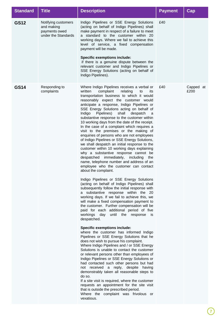| <b>GS12</b> | Notifying customers<br>and making<br>payments owed<br>under the Standards | Indigo Pipelines or SSE Energy Solutions<br>(acting on behalf of Indigo Pipelines) shall<br>make payment in respect of a failure to meet                                                                                                                                                                                                                                                                                                                                                                                                                                                                                                                                                                                                                                                                                                                                                                                                                                                                                                                                                                                                                                                                                                                                                                                                                                                                                                                                                                                                                                                                                                                                                                                                                                                                                                                                                                                                                                                                                                                                  | £40 |                   |
|-------------|---------------------------------------------------------------------------|---------------------------------------------------------------------------------------------------------------------------------------------------------------------------------------------------------------------------------------------------------------------------------------------------------------------------------------------------------------------------------------------------------------------------------------------------------------------------------------------------------------------------------------------------------------------------------------------------------------------------------------------------------------------------------------------------------------------------------------------------------------------------------------------------------------------------------------------------------------------------------------------------------------------------------------------------------------------------------------------------------------------------------------------------------------------------------------------------------------------------------------------------------------------------------------------------------------------------------------------------------------------------------------------------------------------------------------------------------------------------------------------------------------------------------------------------------------------------------------------------------------------------------------------------------------------------------------------------------------------------------------------------------------------------------------------------------------------------------------------------------------------------------------------------------------------------------------------------------------------------------------------------------------------------------------------------------------------------------------------------------------------------------------------------------------------------|-----|-------------------|
|             |                                                                           | a standard to the customer within 20<br>working days. Where we fail to achieve this<br>level of service, a fixed compensation<br>payment will be made.<br><b>Specific exemptions include:</b><br>if there is a genuine dispute between the<br>relevant customer and Indigo Pipelines or<br>SSE Energy Solutions (acting on behalf of<br>Indigo Pipelines).                                                                                                                                                                                                                                                                                                                                                                                                                                                                                                                                                                                                                                                                                                                                                                                                                                                                                                                                                                                                                                                                                                                                                                                                                                                                                                                                                                                                                                                                                                                                                                                                                                                                                                                |     |                   |
| <b>GS14</b> | Responding to<br>complaints                                               | Where Indigo Pipelines receives a verbal or<br>complaint<br>relating<br>written<br>its<br>to<br>transportation business to which it would<br>reasonably expect the customer would<br>anticipate a response, Indigo Pipelines or<br>SSE Energy Solutions acting on behalf of<br>Pipelines)<br>shall<br>Indigo<br>despatch<br>a<br>substantive response to the customer within<br>10 working days from the date of the receipt.<br>In the case of a complaint which requires a<br>visit to the premises or the making of<br>enquiries of persons who are not employees<br>of Indigo Pipelines or SSE Energy Solutions,<br>we shall despatch an initial response to the<br>customer within 10 working days explaining<br>why a substantive response cannot be<br>despatched<br>immediately, including<br>the<br>name, telephone number and address of an<br>employee who the customer can contact<br>about the complaint.<br>Indigo Pipelines or SSE Energy Solutions<br>(acting on behalf of Indigo Pipelines) shall<br>subsequently follow the initial response with<br>substantive response within the 20<br>a<br>working days. If we fail to achieve this, we<br>will make a fixed compensation payment to<br>the customer. Further compensation will be<br>paid for each additional period of five<br>workings day until the response is<br>despatched.<br><b>Specific exemptions include:</b><br>where the customer has informed Indigo<br>Pipelines or SSE Energy Solutions that he<br>does not wish to pursue his complaint.<br>Where Indigo Pipelines and / or SSE Energy<br>Solutions is unable to contact the customer<br>or relevant persons other than employees of<br>Indigo Pipelines or SSE Energy Solutions or<br>had contacted such other persons but had<br>not received a reply, despite having<br>demonstrably taken all reasonable steps to<br>do so.<br>If a site visit is required, where the customer<br>requests an appointment for the site visit<br>that is outside the prescribed period.<br>Where the complaint was frivolous or<br>vexatious. | £40 | Capped at<br>£200 |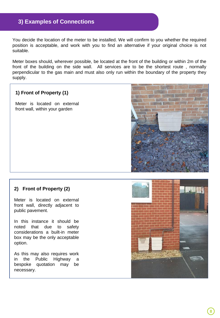# **3) Examples of Connections**

You decide the location of the meter to be installed. We will confirm to you whether the required position is acceptable, and work with you to find an alternative if your original choice is not suitable.

Meter boxes should, wherever possible, be located at the front of the building or within 2m of the front of the building on the side wall. All services are to be the shortest route , normally perpendicular to the gas main and must also only run within the boundary of the property they supply.

#### **1) Front of Property (1)**

Meter is located on external front wall, within your garden



#### **2) Front of Property (2)**

Meter is located on external front wall, directly adjacent to public pavement.

In this instance it should be noted that due to safety considerations a built-in meter box may be the only acceptable option.

As this may also requires work in the Public Highway a bespoke quotation may be necessary.

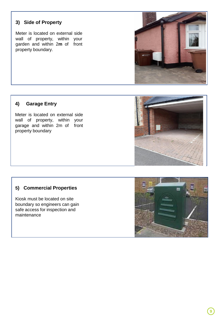# **3)** Side of Property

Meter is located on external side wall of property, within your garden and within 2**m** of front property boundary.



#### **4) Garage Entry**

Meter is located on external side wall of property, within your garage and within 2m of front property boundary



#### **5) Commercial Properties**

Kiosk must be located on site boundary so engineers can gain safe access for inspection and maintenance

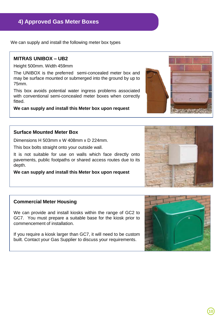**10**

# **4) Approved Gas Meter Boxes**

We can supply and install the following meter box types

#### **MITRAS UNIBOX – UB2**

Height 500mm. Width 459mm

The UNIBOX is the preferred semi-concealed meter box and may be surface mounted or submerged into the ground by up to 75mm.

This box avoids potential water ingress problems associated with conventional semi-concealed meter boxes when correctly fitted.

**We can supply and install this Meter box upon request**

# **Surface Mounted Meter Box**

Dimensions H 503mm x W 408mm x D 224mm.

This box bolts straight onto your outside wall.

It is not suitable for use on walls which face directly onto pavements, public footpaths or shared access routes due to its depth.

**We can supply and install this Meter box upon request**

# **Commercial Meter Housing**

We can provide and install kiosks within the range of GC2 to GC7. You must prepare a suitable base for the kiosk prior to commencement of installation.

If you require a kiosk larger than GC7, it will need to be custom built. Contact your Gas Supplier to discuss your requirements.



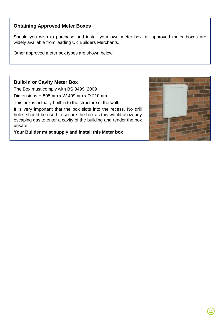#### **Obtaining Approved Meter Boxes**

Should you wish to purchase and install your own meter box, all approved meter boxes are widely available from leading UK Builders Merchants.

Other approved meter box types are shown below.

#### **Built-in or Cavity Meter Box**

The Box must comply with BS 8499: 2009

Dimensions H 595mm x W 409mm x D 210mm.

This box is actually built in to the structure of the wall.

It is very important that the box slots into the recess. No drill holes should be used to secure the box as this would allow any escaping gas to enter a cavity of the building and render the box unsafe.

**Your Builder must supply and install this Meter box**

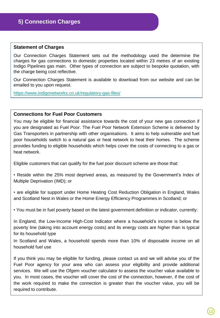#### **Statement of Charges**

Our Connection Charges Statement sets out the methodology used the determine the charges for gas connections to domestic properties located within 23 metres of an existing Indigo Pipelines gas main. Other types of connection are subject to bespoke quotation, with the charge being cost reflective.

Our Connection Charges Statement is available to download from our website and can be emailed to you upon request.

[https://www.indigonetworks.co.uk/regulatory-gas-files/](https://geco.uk.ssegroup.net/https:/www.indigonetworks.co.uk/regulatory-gas-files/)

#### **Connections for Fuel Poor Customers**

You may be eligible for financial assistance towards the cost of your new gas connection if you are designated as Fuel Poor. The Fuel Poor Network Extension Scheme is delivered by Gas Transporters in partnership with other organisations. It aims to help vulnerable and fuel poor households switch to a natural gas or heat network to heat their homes. The scheme provides funding to eligible households which helps cover the costs of connecting to a gas or heat network.

Eligible customers that can qualify for the fuel poor discount scheme are those that:

• Reside within the 25% most deprived areas, as measured by the Government's Index of Multiple Deprivation (IMD); or

• are eligible for support under Home Heating Cost Reduction Obligation in England, Wales and Scotland Nest in Wales or the Home Energy Efficiency Programmes in Scotland; or

• You must be in fuel poverty based on the latest government definition or indicator, currently:

In England, the Low-Income High-Cost Indicator where a household's income is below the poverty line (taking into account energy costs) and its energy costs are higher than is typical for its household type

In Scotland and Wales, a household spends more than 10% of disposable income on all household fuel use

If you think you may be eligible for funding, please contact us and we will advise you of the Fuel Poor agency for your area who can assess your eligibility and provide additional services. We will use the Ofgem voucher calculator to assess the voucher value available to you. In most cases, the voucher will cover the cost of the connection, however, if the cost of the work required to make the connection is greater than the voucher value, you will be required to contribute.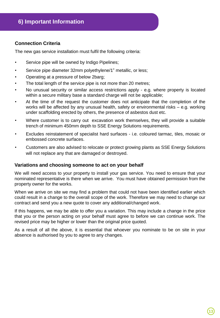#### **Connection Criteria**

The new gas service installation must fulfil the following criteria:

- Service pipe will be owned by Indigo Pipelines;
- Service pipe diameter 32mm polyethylene/1" metallic, or less;
- Operating at a pressure of below 2barg;
- The total length of the service pipe is not more than 20 metres;
- No unusual security or similar access restrictions apply e.g. where property is located within a secure military base a standard charge will not be applicable;
- At the time of the request the customer does not anticipate that the completion of the works will be affected by any unusual health, safety or environmental risks – e.g. working under scaffolding erected by others, the presence of asbestos dust etc.
- Where customer is to carry out excavation work themselves, they will provide a suitable trench of minimum 450mm depth to SSE Energy Solutions requirements.
- Excludes reinstatement of specialist hard surfaces i.e. coloured tarmac, tiles, mosaic or embossed concrete surfaces.
- Customers are also advised to relocate or protect growing plants as SSE Energy Solutions will not replace any that are damaged or destroyed.

#### **Variations and choosing someone to act on your behalf**

We will need access to your property to install your gas service. You need to ensure that your nominated representative is there when we arrive. You must have obtained permission from the property owner for the works.

When we arrive on site we may find a problem that could not have been identified earlier which could result in a change to the overall scope of the work. Therefore we may need to change our contract and send you a new quote to cover any additional/changed work.

If this happens, we may be able to offer you a variation. This may include a change in the price that you or the person acting on your behalf must agree to before we can continue work. The revised price may be higher or lower than the original price quoted.

As a result of all the above, it is essential that whoever you nominate to be on site in your absence is authorised by you to agree to any changes.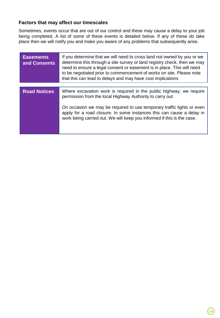#### **Factors that may affect our timescales**

Sometimes, events occur that are out of our control and these may cause a delay to your job being completed. A list of some of these events is detailed below. If any of these do take place then we will notify you and make you aware of any problems that subsequently arise.

| <b>Easements</b><br>and Consents | If you determine that we will need to cross land not owned by you or we<br>determine this through a site survey or land registry check, then we may<br>need to ensure a legal consent or easement is in place. This will need<br>to be negotiated prior to commencement of works on site. Please note<br>that this can lead to delays and may have cost implications |
|----------------------------------|----------------------------------------------------------------------------------------------------------------------------------------------------------------------------------------------------------------------------------------------------------------------------------------------------------------------------------------------------------------------|
|                                  |                                                                                                                                                                                                                                                                                                                                                                      |
| <b>Road Notices</b>              | Where excavation work is required in the public highway, we require<br>permission from the local Highway Authority to carry out.                                                                                                                                                                                                                                     |
|                                  | On occasion we may be required to use temporary traffic lights or even<br>apply for a road closure. In some instances this can cause a delay in<br>work being carried out. We will keep you informed if this is the case.                                                                                                                                            |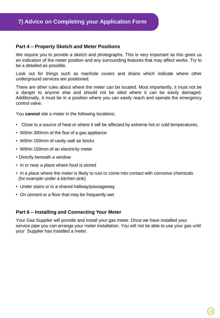#### **Part 4 – Property Sketch and Meter Positions**

We require you to provide a sketch and photographs. This is very important as this gives us an indication of the meter position and any surrounding features that may affect works. Try to be a detailed as possible.

Look out for things such as manhole covers and drains which indicate where other underground services are positioned.

There are other rules about where the meter can be located. Most importantly, it must not be a danger to anyone else and should not be sited where it can be easily damaged. Additionally, it must be in a position where you can easily reach and operate the emergency control valve.

You **cannot** site a meter in the following locations:

- Close to a source of heat or where it will be affected by extreme hot or cold temperatures,
- Within 300mm of the flue of a gas appliance
- Within 150mm of cavity wall air bricks
- Within 150mm of an electricity meter
- Directly beneath a window
- In or near a place where food is stored
- In a place where the meter is likely to rust or come into contact with corrosive chemicals (for example under a kitchen sink)
- Under stairs or in a shared hallway/passageway
- On cement or a floor that may be frequently wet

#### **Part 6 – Installing and Connecting Your Meter**

Your Gas Supplier will provide and install your gas meter. Once we have installed your service pipe you can arrange your meter installation. You will not be able to use your gas until your Supplier has installed a meter.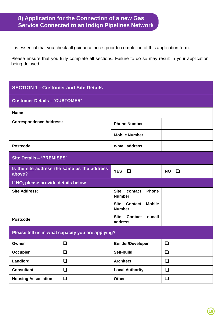# **8) Application for the Connection of a new Gas Service Connected to an Indigo Pipelines Network**

It is essential that you check all guidance notes prior to completion of this application form.

Please ensure that you fully complete all sections. Failure to do so may result in your application being delayed.

| <b>SECTION 1 - Customer and Site Details</b>          |        |                                                                 |                |  |
|-------------------------------------------------------|--------|-----------------------------------------------------------------|----------------|--|
| <b>Customer Details - 'CUSTOMER'</b>                  |        |                                                                 |                |  |
| Name                                                  |        |                                                                 |                |  |
| <b>Correspondence Address:</b>                        |        | <b>Phone Number</b>                                             |                |  |
|                                                       |        | <b>Mobile Number</b>                                            |                |  |
| <b>Postcode</b>                                       |        | e-mail address                                                  |                |  |
| <b>Site Details - 'PREMISES'</b>                      |        |                                                                 |                |  |
| Is the site address the same as the address<br>above? |        | <b>YES</b><br>□                                                 | <b>NO</b><br>◻ |  |
| If NO, please provide details below                   |        |                                                                 |                |  |
| <b>Site Address:</b>                                  |        | Phone<br><b>Site</b><br>contact<br><b>Number</b>                |                |  |
|                                                       |        | <b>Mobile</b><br><b>Site</b><br><b>Contact</b><br><b>Number</b> |                |  |
| <b>Postcode</b>                                       |        | <b>Site</b><br><b>Contact</b><br>e-mail<br>address              |                |  |
| Please tell us in what capacity you are applying?     |        |                                                                 |                |  |
| Owner                                                 | ❏      | <b>Builder/Developer</b>                                        | ❏              |  |
| Occupier                                              | $\Box$ | Self-build                                                      | $\Box$         |  |
| Landlord<br>$\Box$                                    |        | <b>Architect</b>                                                | ❏              |  |
| <b>Consultant</b><br>$\Box$                           |        | <b>Local Authority</b>                                          | $\Box$         |  |
| ❏<br><b>Housing Association</b>                       |        | Other                                                           | ❏              |  |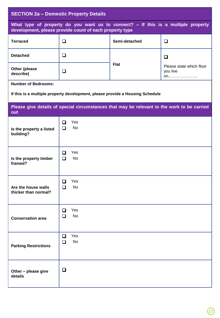| <b>SECTION 2a - Domestic Property Details</b>           |             |                  |                                                                                             |                                            |
|---------------------------------------------------------|-------------|------------------|---------------------------------------------------------------------------------------------|--------------------------------------------|
| development, please provide count of each property type |             |                  | What type of property do you want us to connect? - If this is a multiple property           |                                            |
| <b>Terraced</b>                                         | $\Box$      |                  | Semi-detached                                                                               | ❏                                          |
| <b>Detached</b>                                         | $\Box$      |                  |                                                                                             | □                                          |
| Other (please<br>describe)                              | $\Box$      |                  | <b>Flat</b>                                                                                 | Please state which floor<br>you live<br>on |
| <b>Number of Bedrooms:</b>                              |             |                  |                                                                                             |                                            |
|                                                         |             |                  | If this is a multiple property development, please provide a Housing Schedule               |                                            |
| out                                                     |             |                  | Please give details of special circumstances that may be relevant to the work to be carried |                                            |
| Is the property a listed<br>building?                   | ❏<br>$\Box$ | Yes<br><b>No</b> |                                                                                             |                                            |
| Is the property timber<br>framed?                       | ◻<br>$\Box$ | Yes<br><b>No</b> |                                                                                             |                                            |
| Are the house walls<br>thicker than normal?             | ப<br>◻      | Yes<br>No        |                                                                                             |                                            |
| Yes<br>❏<br>No<br>❏<br><b>Conservation area</b>         |             |                  |                                                                                             |                                            |
| <b>Parking Restrictions</b>                             | ❏<br>❏      | Yes<br>No        |                                                                                             |                                            |
| Other - please give<br>details                          | $\Box$      |                  |                                                                                             |                                            |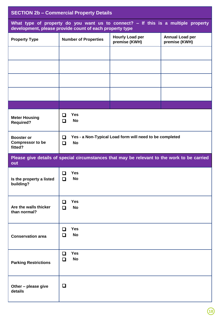| <b>SECTION 2b - Commercial Property Details</b>         |                                                                                     |                                                                                             |                                         |  |
|---------------------------------------------------------|-------------------------------------------------------------------------------------|---------------------------------------------------------------------------------------------|-----------------------------------------|--|
|                                                         | development, please provide count of each property type                             | What type of property do you want us to connect? - If this is a multiple property           |                                         |  |
| <b>Property Type</b>                                    | <b>Number of Properties</b>                                                         | <b>Hourly Load per</b><br>premise (KWH)                                                     | <b>Annual Load per</b><br>premise (KWH) |  |
|                                                         |                                                                                     |                                                                                             |                                         |  |
|                                                         |                                                                                     |                                                                                             |                                         |  |
|                                                         |                                                                                     |                                                                                             |                                         |  |
|                                                         |                                                                                     |                                                                                             |                                         |  |
|                                                         |                                                                                     |                                                                                             |                                         |  |
| <b>Meter Housing</b><br><b>Required?</b>                | <b>Yes</b><br>O<br><b>No</b><br>$\Box$                                              |                                                                                             |                                         |  |
| <b>Booster or</b><br><b>Compressor to be</b><br>fitted? | Yes - a Non-Typical Load form will need to be completed<br>❏<br><b>No</b><br>$\Box$ |                                                                                             |                                         |  |
| out                                                     |                                                                                     | Please give details of special circumstances that may be relevant to the work to be carried |                                         |  |
| Is the property a listed<br>building?                   | <b>Yes</b><br>❏<br><b>No</b><br>$\Box$                                              |                                                                                             |                                         |  |
| Are the walls thicker<br>than normal?                   | <b>Yes</b><br>❏<br><b>No</b><br>$\Box$                                              |                                                                                             |                                         |  |
| <b>Conservation area</b>                                | <b>Yes</b><br>o<br><b>No</b><br>◘                                                   |                                                                                             |                                         |  |
| <b>Parking Restrictions</b>                             | <b>Yes</b><br>□<br><b>No</b><br>$\Box$                                              |                                                                                             |                                         |  |
| Other - please give<br>details                          | $\Box$                                                                              |                                                                                             |                                         |  |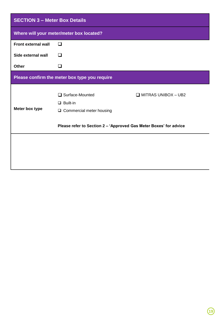| <b>SECTION 3 - Meter Box Details</b> |                                                                            |                            |  |  |  |
|--------------------------------------|----------------------------------------------------------------------------|----------------------------|--|--|--|
|                                      | Where will your meter/meter box located?                                   |                            |  |  |  |
| <b>Front external wall</b>           | □                                                                          |                            |  |  |  |
| Side external wall                   | ப                                                                          |                            |  |  |  |
| <b>Other</b>                         | $\overline{\phantom{a}}$                                                   |                            |  |  |  |
|                                      | Please confirm the meter box type you require                              |                            |  |  |  |
| Meter box type                       | □ Surface-Mounted<br>$\Box$ Built-in<br>Commercial meter housing<br>$\Box$ | $\Box$ MITRAS UNIBOX - UB2 |  |  |  |
|                                      | Please refer to Section 2 - 'Approved Gas Meter Boxes' for advice          |                            |  |  |  |
|                                      |                                                                            |                            |  |  |  |
|                                      |                                                                            |                            |  |  |  |
|                                      |                                                                            |                            |  |  |  |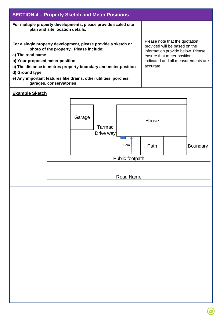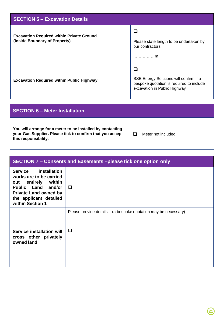| <b>SECTION 5 - Excavation Details</b>                                             |                                                                                                                    |  |  |
|-----------------------------------------------------------------------------------|--------------------------------------------------------------------------------------------------------------------|--|--|
| <b>Excavation Required within Private Ground</b><br>(Inside Boundary of Property) | Please state length to be undertaken by<br>our contractors<br>. m                                                  |  |  |
| <b>Excavation Required within Public Highway</b>                                  | SSE Energy Solutions will confirm if a<br>bespoke quotation is required to include<br>excavation in Public Highway |  |  |

# **SECTION 6 – Meter Installation You will arrange for a meter to be installed by contacting your Gas Supplier. Please tick to confirm that you accept this responsibility.**  $\Box$  Meter not included

| SECTION 7 – Consents and Easements – please tick one option only                                                                                                                 |                                                                      |  |  |
|----------------------------------------------------------------------------------------------------------------------------------------------------------------------------------|----------------------------------------------------------------------|--|--|
| installation<br>Service<br>works are to be carried<br>within<br>out entirely<br>Public Land and/or<br><b>Private Land owned by</b><br>the applicant detailed<br>within Section 1 | □                                                                    |  |  |
| Service installation will<br>cross other privately<br>owned land                                                                                                                 | Please provide details – (a bespoke quotation may be necessary)<br>❏ |  |  |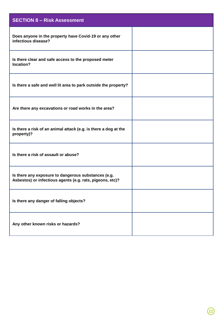| <b>SECTION 8 - Risk Assessment</b>                                                                               |  |
|------------------------------------------------------------------------------------------------------------------|--|
| Does anyone in the property have Covid-19 or any other<br>infectious disease?                                    |  |
| Is there clear and safe access to the proposed meter<br>location?                                                |  |
| Is there a safe and well lit area to park outside the property?                                                  |  |
| Are there any excavations or road works in the area?                                                             |  |
| Is there a risk of an animal attack (e.g. is there a dog at the<br>property)?                                    |  |
| Is there a risk of assault or abuse?                                                                             |  |
| Is there any exposure to dangerous substances (e.g.<br>Asbestos) or infectious agents (e.g. rats, pigeons, etc)? |  |
| Is there any danger of falling objects?                                                                          |  |
| Any other known risks or hazards?                                                                                |  |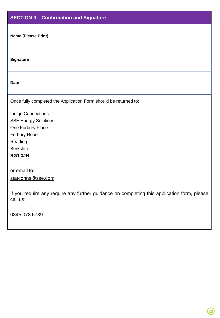| <b>SECTION 9 - Confirmation and Signature</b>                                                           |  |
|---------------------------------------------------------------------------------------------------------|--|
| Name (Please Print)                                                                                     |  |
| <b>Signature</b>                                                                                        |  |
| <b>Date</b>                                                                                             |  |
| Once fully completed the Application Form should be returned to:                                        |  |
| <b>Indigo Connections</b>                                                                               |  |
| <b>SSE Energy Solutions</b>                                                                             |  |
| One Forbury Place                                                                                       |  |
| Forbury Road                                                                                            |  |
| Reading                                                                                                 |  |
| <b>Berkshire</b>                                                                                        |  |
| RG1 3JH                                                                                                 |  |
|                                                                                                         |  |
| or email to:                                                                                            |  |
| statconns@sse.com                                                                                       |  |
| If you require any require any further guidance on completing this application form, please<br>call us: |  |
| 0345 078 6739                                                                                           |  |